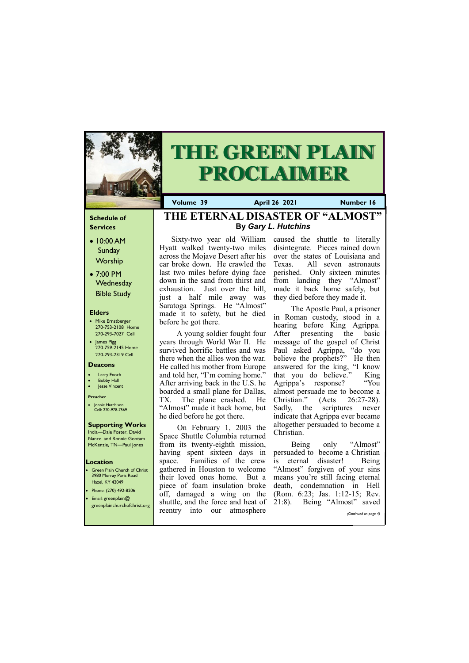### **Schedule of Services**

- 10:00 AM Sunday **Worship**
- 7:00 PM **Wednesday** Bible Study

### **Elders**

- Mike Ernstberger 270-753-2108 Home 270-293-7027 Cell
- James Pigg 270-759-2145 Home 270-293-2319 Cell

- **Green Plain Church of Christ** 3980 Murray Paris Road Hazel, KY 42049 • Phone: (270) 492-8206
- Email: greenplain@

### **Location**



# **THE GREEN PLAIN PROCLAIMER**

**Volume 39 April 26 2021 Number 16**

#### **Deacons**

- **Larry Enoch**
- **Bobby Hall**
- Jesse Vincent

#### **Preacher**

• Jonnie Hutchison Cell: 270-978-7569

### **Supporting Works**

India—Dale Foster, David Nance. and Ronnie Gootam McKenzie, TN—Paul Jones

Hyatt walked twenty-two miles across the Mojave Desert after his car broke down. He crawled the last two miles before dying face down in the sand from thirst and exhaustion. Just over the hill, just a half mile away was Saratoga Springs. He "Almost" made it to safety, but he died before he got there.

 A young soldier fought four years through World War II. He survived horrific battles and was there when the allies won the war. He called his mother from Europe and told her, "I'm coming home." After arriving back in the U.S. he boarded a small plane for Dallas, TX. The plane crashed. He "Almost" made it back home, but he died before he got there.

Sixty-two year old William caused the shuttle to literally disintegrate. Pieces rained down over the states of Louisiana and Texas. All seven astronauts perished. Only sixteen minutes from landing they "Almost" made it back home safely, but they died before they made it.

 On February 1, 2003 the Space Shuttle Columbia returned from its twenty-eighth mission, having spent sixteen days in space. Families of the crew gathered in Houston to welcome their loved ones home. But a piece of foam insulation broke off, damaged a wing on the

| - - - | $r$ email: greenplain( $\omega$<br>greenplainchurchofchrist.org |         |                  |     | shuttle, and the force and heat of 21:8). |  | Being "Almost" | saved                 |
|-------|-----------------------------------------------------------------|---------|------------------|-----|-------------------------------------------|--|----------------|-----------------------|
|       |                                                                 | reentry | 1 <sub>nto</sub> | our | atmosphere                                |  |                | (Continued on page 4) |
|       |                                                                 |         |                  |     |                                           |  |                |                       |

 The Apostle Paul, a prisoner in Roman custody, stood in a hearing before King Agrippa. After presenting the basic message of the gospel of Christ Paul asked Agrippa, "do you believe the prophets?" He then answered for the king, "I know that you do believe." King Agrippa's response? "You almost persuade me to become a Christian." (Acts 26:27-28). Sadly, the scriptures never indicate that Agrippa ever became altogether persuaded to become a Christian.

 Being only "Almost" persuaded to become a Christian is eternal disaster! Being "Almost" forgiven of your sins means you're still facing eternal death, condemnation in Hell (Rom. 6:23; Jas. 1:12-15; Rev.

### **THE ETERNAL DISASTER OF "ALMOST" By** *Gary L. Hutchins*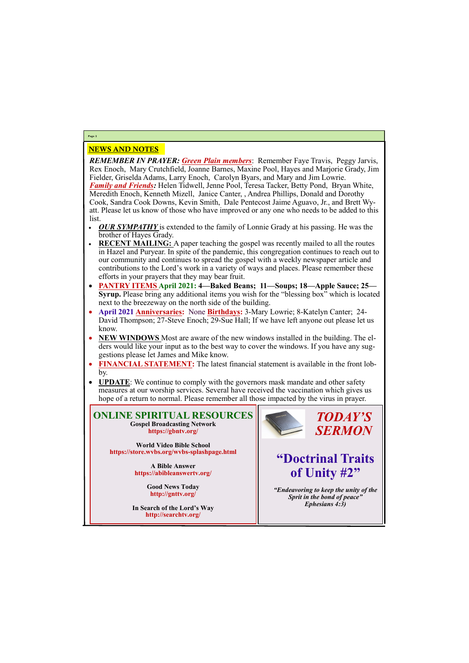### NEWS AND NOTES

*REMEMBER IN PRAYER: Green Plain members*: Remember Faye Travis, Peggy Jarvis, Rex Enoch, Mary Crutchfield, Joanne Barnes, Maxine Pool, Hayes and Marjorie Grady, Jim Fielder, Griselda Adams, Larry Enoch, Carolyn Byars, and Mary and Jim Lowrie. *Family and Friends:* Helen Tidwell, Jenne Pool, Teresa Tacker, Betty Pond, Bryan White, Meredith Enoch, Kenneth Mizell, Janice Canter, , Andrea Phillips, Donald and Dorothy Cook, Sandra Cook Downs, Kevin Smith, Dale Pentecost Jaime Aguavo, Jr., and Brett Wyatt. Please let us know of those who have improved or any one who needs to be added to this list.

- *OUR SYMPATHY* is extended to the family of Lonnie Grady at his passing. He was the brother of Hayes Grady.
- **RECENT MAILING:** A paper teaching the gospel was recently mailed to all the routes in Hazel and Puryear. In spite of the pandemic, this congregation continues to reach out to our community and continues to spread the gospel with a weekly newspaper article and contributions to the Lord's work in a variety of ways and places. Please remember these efforts in your prayers that they may bear fruit.
- **PANTRY ITEMS April 2021: 4—Baked Beans; 11—Soups; 18—Apple Sauce; 25— Syrup.** Please bring any additional items you wish for the "blessing box" which is located next to the breezeway on the north side of the building.
- **April 2021 Anniversaries:** None **Birthdays:** 3-Mary Lowrie; 8-Katelyn Canter; 24- David Thompson; 27-Steve Enoch; 29-Sue Hall; If we have left anyone out please let us know.
- **NEW WINDOWS** Most are aware of the new windows installed in the building. The elders would like your input as to the best way to cover the windows. If you have any suggestions please let James and Mike know.
- **FINANCIAL STATEMENT:** The latest financial statement is available in the front lobby.
- **UPDATE**: We continue to comply with the governors mask mandate and other safety measures at our worship services. Several have received the vaccination which gives us hope of a return to normal. Please remember all those impacted by the virus in prayer.

### **Page 2**

**ONLINE SPIRITUAL RESOURCES Gospel Broadcasting Network https://gbntv.org/**

**World Video Bible School https://store.wvbs.org/wvbs-splashpage.html**

> **A Bible Answer https://abibleanswertv.org/**

> > **Good News Today http://gnttv.org/**



**In Search of the Lord's Way http://searchtv.org/**

*TODAY'S SERMON*

## **"Doctrinal Traits of Unity #2"**

*"Endeavoring to keep the unity of the Sprit in the bond of peace"*

*Ephesians 4:3)*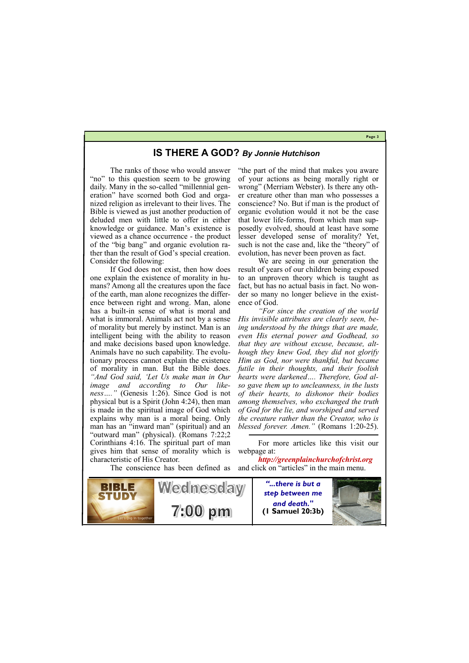**Page 3**



616142

7:00 pm

**Wednesday** 

### **IS THERE A GOD?** *By Jonnie Hutchison*

The ranks of those who would answer "no" to this question seem to be growing daily. Many in the so-called "millennial generation" have scorned both God and organized religion as irrelevant to their lives. The Bible is viewed as just another production of deluded men with little to offer in either knowledge or guidance. Man's existence is viewed as a chance occurrence - the product of the "big bang" and organic evolution rather than the result of God's special creation. Consider the following:

If God does not exist, then how does one explain the existence of morality in humans? Among all the creatures upon the face of the earth, man alone recognizes the difference between right and wrong. Man, alone has a built-in sense of what is moral and what is immoral. Animals act not by a sense of morality but merely by instinct. Man is an intelligent being with the ability to reason and make decisions based upon knowledge. Animals have no such capability. The evolutionary process cannot explain the existence of morality in man. But the Bible does. *"And God said, 'Let Us make man in Our image and according to Our likeness…."* (Genesis 1:26). Since God is not physical but is a Spirit (John 4:24), then man is made in the spiritual image of God which explains why man is a moral being. Only man has an "inward man" (spiritual) and an "outward man" (physical). (Romans 7:22;2 Corinthians 4:16. The spiritual part of man gives him that sense of morality which is characteristic of His Creator.



"the part of the mind that makes you aware of your actions as being morally right or wrong" (Merriam Webster). Is there any other creature other than man who possesses a conscience? No. But if man is the product of organic evolution would it not be the case that lower life-forms, from which man supposedly evolved, should at least have some lesser developed sense of morality? Yet, such is not the case and, like the "theory" of evolution, has never been proven as fact.

We are seeing in our generation the result of years of our children being exposed to an unproven theory which is taught as fact, but has no actual basis in fact. No wonder so many no longer believe in the existence of God.

*"For since the creation of the world His invisible attributes are clearly seen, being understood by the things that are made, even His eternal power and Godhead, so that they are without excuse, because, although they knew God, they did not glorify Him as God, nor were thankful, but became futile in their thoughts, and their foolish hearts were darkened…. Therefore, God also gave them up to uncleanness, in the lusts of their hearts, to dishonor their bodies among themselves, who exchanged the truth of God for the lie, and worshiped and served the creature rather than the Creator, who is blessed forever. Amen."* (Romans 1:20-25).

For more articles like this visit our webpage at:

*http://greenplainchurchofchrist.org* and click on "articles" in the main menu.

> *"...there is but a step between me*